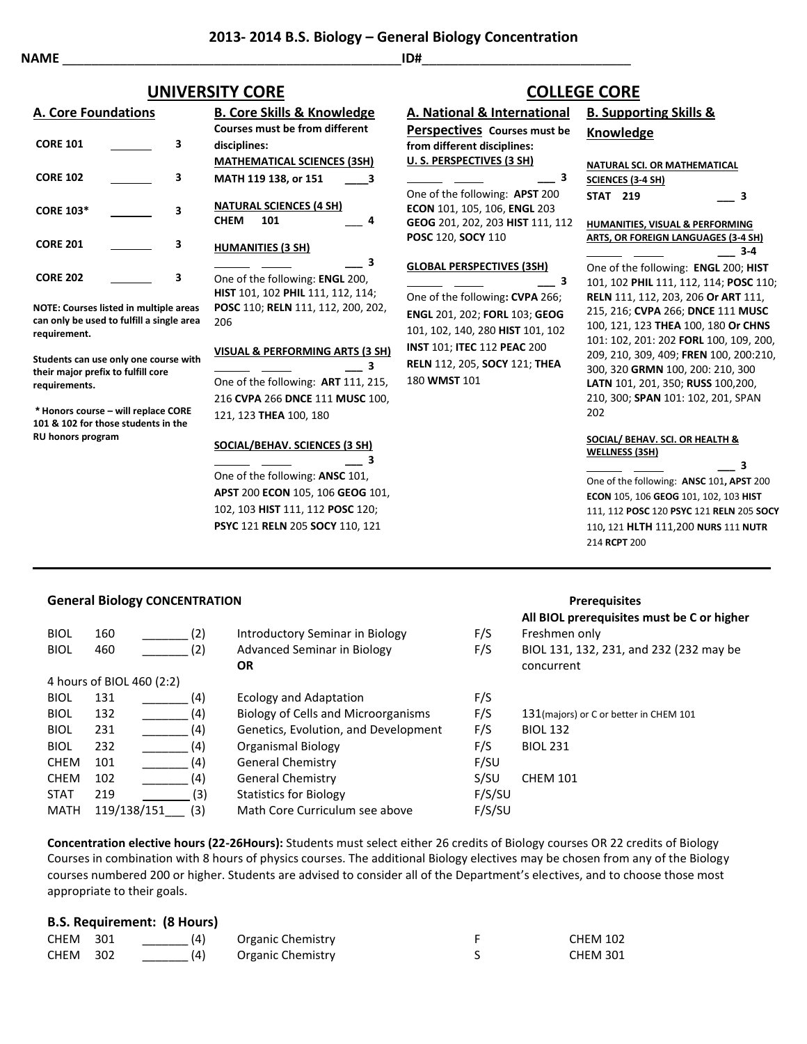# **NAME** \_\_\_\_\_\_\_\_\_\_\_\_\_\_\_\_\_\_\_\_\_\_\_\_\_\_\_\_\_\_\_\_\_\_\_\_\_\_\_\_\_\_\_\_\_\_\_**ID#**\_\_\_\_\_\_\_\_\_\_\_\_\_\_\_\_\_\_\_\_\_\_\_\_\_\_\_\_\_

|                  | <b>A. Core Foundations</b> |   | <b>B. Core Skills &amp; Knowledge</b><br>Courses must be from different     |  |
|------------------|----------------------------|---|-----------------------------------------------------------------------------|--|
| <b>CORE 101</b>  |                            | з | disciplines:                                                                |  |
|                  |                            |   | <b>MATHEMATICAL SCIENCES (3SH)</b>                                          |  |
| <b>CORE 102</b>  |                            | з | MATH 119 138, or 151<br>$\overline{\mathbf{3}}$                             |  |
| <b>CORE 103*</b> |                            | 3 | <b>NATURAL SCIENCES (4 SH)</b><br><b>CHEM</b><br>101<br>Δ                   |  |
| <b>CORE 201</b>  |                            | 3 | <b>HUMANITIES (3 SH)</b>                                                    |  |
| <b>CORE 202</b>  |                            | 3 | One of the following: <b>ENGL</b> 200,<br>HIST 101, 102 PHIL 111, 112, 114; |  |
|                  |                            |   |                                                                             |  |

**NOTE: Courses listed in multiple areas can only be used to fulfill a single area requirement.**

**Students can use only one course with their major prefix to fulfill core requirements.**

**\* Honors course – will replace CORE 101 & 102 for those students in the RU honors program**

|      | <i></i> ==== ==== . =====         |                                            |
|------|-----------------------------------|--------------------------------------------|
|      | <b>NATURAL SCIENCES (4 SH)</b>    |                                            |
| CHEM | 101                               | Δ                                          |
|      | <b>HUMANITIES (3 SH)</b>          |                                            |
|      |                                   | 3                                          |
|      | One of the following: ENGL 200,   |                                            |
|      | HIST 101, 102 PHIL 111, 112, 114; |                                            |
|      |                                   | POSC 110; RELN 111, 112, 200, 202,         |
| 206  |                                   |                                            |
|      |                                   |                                            |
|      |                                   | <b>VISUAL &amp; PERFORMING ARTS (3 SH)</b> |

## **\_\_\_ 3** One of the following: **ART** 111, 215, 216 **CVPA** 266 **DNCE** 111 **MUSC** 100, 121, 123 **THEA** 100, 180

## **SOCIAL/BEHAV. SCIENCES (3 SH)**

 **\_\_\_ 3** One of the following: **ANSC** 101, **APST** 200 **ECON** 105, 106 **GEOG** 101, 102, 103 **HIST** 111, 112 **POSC** 120; **PSYC** 121 **RELN** 205 **SOCY** 110, 121

# **A. National & International Perspectives Courses must be from different disciplines: U. S. PERSPECTIVES (3 SH) \_\_\_ 3** One of the following: **APST** 200 **UNIVERSITY CORE COLLEGE CORE**

**ECON** 101, 105, 106, **ENGL** 203 **GEOG** 201, 202, 203 **HIST** 111, 112 **POSC** 120, **SOCY** 110

### **GLOBAL PERSPECTIVES (3SH)**

 **\_\_\_ 3** One of the following**: CVPA** 266; **ENGL** 201, 202; **FORL** 103; **GEOG** 101, 102, 140, 280 **HIST** 101, 102 **INST** 101; **ITEC** 112 **PEAC** 200 **RELN** 112, 205, **SOCY** 121; **THEA** 180 **WMST** 101

# **B. Supporting Skills & Knowledge**

#### **NATURAL SCI. OR MATHEMATICAL**

|          | <b>SCIENCES (3-4 SH)</b> |   |
|----------|--------------------------|---|
| STAT 219 |                          | 3 |

**HUMANITIES, VISUAL & PERFORMING ARTS, OR FOREIGN LANGUAGES (3-4 SH) \_\_\_ 3-4**

One of the following: **ENGL** 200; **HIST**  101, 102 **PHIL** 111, 112, 114; **POSC** 110; **RELN** 111, 112, 203, 206 **Or ART** 111, 215, 216; **CVPA** 266; **DNCE** 111 **MUSC**  100, 121, 123 **THEA** 100, 180 **Or CHNS**  101: 102, 201: 202 **FORL** 100, 109, 200, 209, 210, 309, 409; **FREN** 100, 200:210, 300, 320 **GRMN** 100, 200: 210, 300 **LATN** 101, 201, 350; **RUSS** 100,200, 210, 300; **SPAN** 101: 102, 201, SPAN 202

#### **SOCIAL/ BEHAV. SCI. OR HEALTH & WELLNESS (3SH)**

 **\_\_\_ 3** One of the following: **ANSC** 101**, APST** 200 **ECON** 105, 106 **GEOG** 101, 102, 103 **HIST** 111, 112 **POSC** 120 **PSYC** 121 **RELN** 205 **SOCY** 110**,** 121 **HLTH** 111,200 **NURS** 111 **NUTR**  214 **RCPT** 200

## **General Biology CONCENTRATION Prerequisites**

|             |                           |     |                                            |        | All BIOL prerequisites must be C or higher |
|-------------|---------------------------|-----|--------------------------------------------|--------|--------------------------------------------|
| <b>BIOL</b> | 160                       | (2) | Introductory Seminar in Biology            | F/S    | Freshmen only                              |
| <b>BIOL</b> | 460                       | (2) | Advanced Seminar in Biology                | F/S    | BIOL 131, 132, 231, and 232 (232 may be    |
|             |                           |     | <b>OR</b>                                  |        | concurrent                                 |
|             | 4 hours of BIOL 460 (2:2) |     |                                            |        |                                            |
| <b>BIOL</b> | 131                       | (4) | <b>Ecology and Adaptation</b>              | F/S    |                                            |
| <b>BIOL</b> | 132                       | (4) | <b>Biology of Cells and Microorganisms</b> | F/S    | 131 (majors) or C or better in CHEM 101    |
| <b>BIOL</b> | 231                       | (4) | Genetics, Evolution, and Development       | F/S    | <b>BIOL 132</b>                            |
| <b>BIOL</b> | 232                       | (4) | Organismal Biology                         | F/S    | <b>BIOL 231</b>                            |
| <b>CHEM</b> | 101                       | (4) | <b>General Chemistry</b>                   | F/SU   |                                            |
| <b>CHEM</b> | 102                       | (4) | General Chemistry                          | S/SU   | <b>CHEM 101</b>                            |
| <b>STAT</b> | 219                       | (3) | <b>Statistics for Biology</b>              | F/S/SU |                                            |
| <b>MATH</b> | 119/138/151               | (3) | Math Core Curriculum see above             | F/S/SU |                                            |

**Concentration elective hours (22-26Hours):** Students must select either 26 credits of Biology courses OR 22 credits of Biology Courses in combination with 8 hours of physics courses. The additional Biology electives may be chosen from any of the Biology courses numbered 200 or higher. Students are advised to consider all of the Department's electives, and to choose those most appropriate to their goals.

## **B.S. Requirement: (8 Hours)**

| <b>CHEM 301</b> | (4) | Organic Chemistry | <b>CHEM 102</b> |
|-----------------|-----|-------------------|-----------------|
| <b>CHEM 302</b> | (4) | Organic Chemistry | <b>CHEM 301</b> |